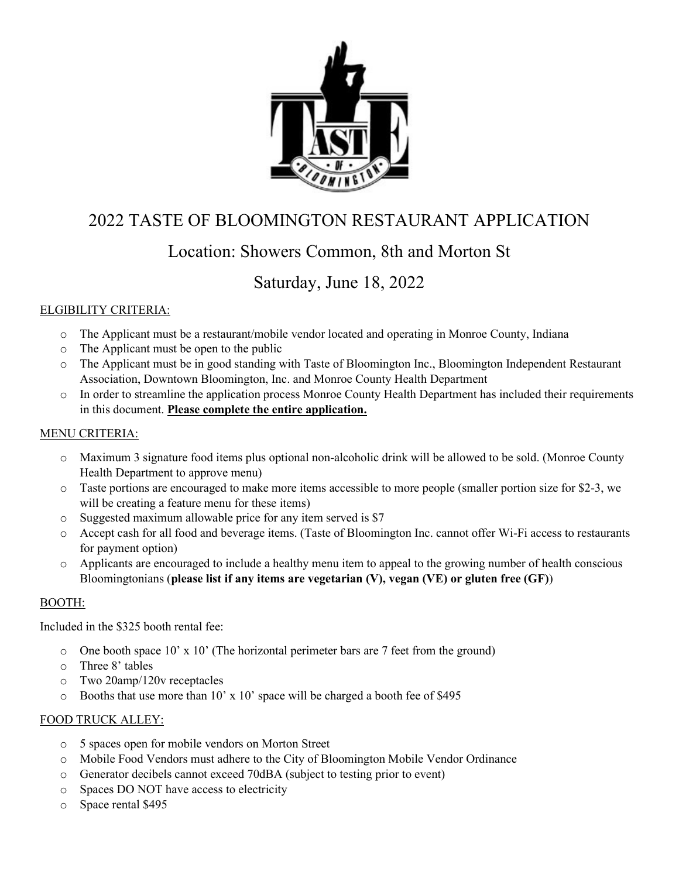

# 2022 TASTE OF BLOOMINGTON RESTAURANT APPLICATION

## Location: Showers Common, 8th and Morton St

## Saturday, June 18, 2022

### ELGIBILITY CRITERIA:

- o The Applicant must be a restaurant/mobile vendor located and operating in Monroe County, Indiana
- o The Applicant must be open to the public
- o The Applicant must be in good standing with Taste of Bloomington Inc., Bloomington Independent Restaurant Association, Downtown Bloomington, Inc. and Monroe County Health Department
- o In order to streamline the application process Monroe County Health Department has included their requirements in this document. **Please complete the entire application.**

#### MENU CRITERIA:

- o Maximum 3 signature food items plus optional non-alcoholic drink will be allowed to be sold. (Monroe County Health Department to approve menu)
- o Taste portions are encouraged to make more items accessible to more people (smaller portion size for \$2-3, we will be creating a feature menu for these items)
- o Suggested maximum allowable price for any item served is \$7
- o Accept cash for all food and beverage items. (Taste of Bloomington Inc. cannot offer Wi-Fi access to restaurants for payment option)
- o Applicants are encouraged to include a healthy menu item to appeal to the growing number of health conscious Bloomingtonians (**please list if any items are vegetarian (V), vegan (VE) or gluten free (GF)**)

#### BOOTH:

Included in the \$325 booth rental fee:

- $\circ$  One booth space 10' x 10' (The horizontal perimeter bars are 7 feet from the ground)
- o Three 8' tables
- o Two 20amp/120v receptacles
- $\circ$  Booths that use more than 10' x 10' space will be charged a booth fee of \$495

#### FOOD TRUCK ALLEY:

- o 5 spaces open for mobile vendors on Morton Street
- o Mobile Food Vendors must adhere to the City of Bloomington Mobile Vendor Ordinance
- o Generator decibels cannot exceed 70dBA (subject to testing prior to event)
- o Spaces DO NOT have access to electricity
- o Space rental \$495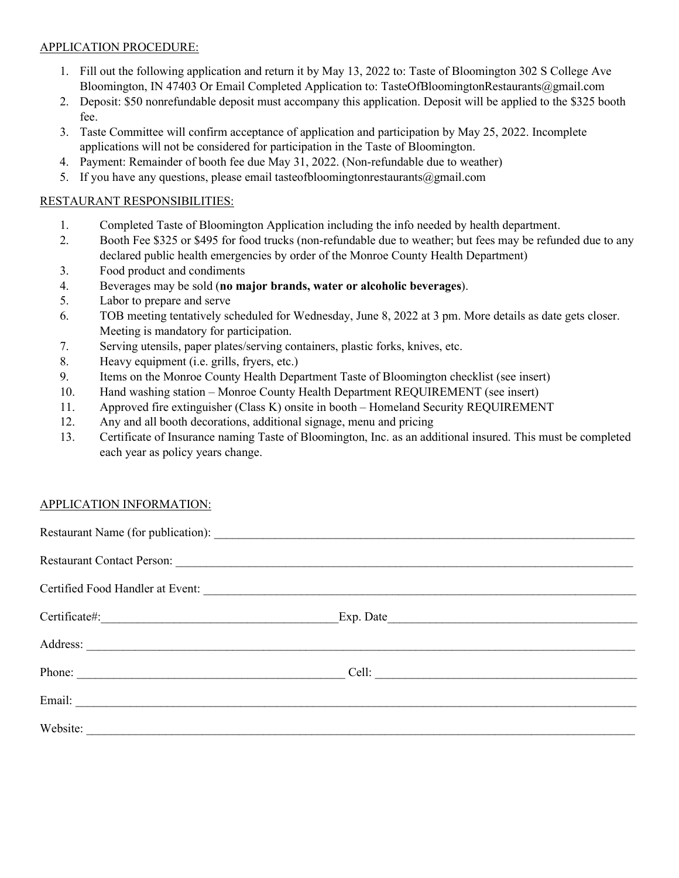#### APPLICATION PROCEDURE:

- 1. Fill out the following application and return it by May 13, 2022 to: Taste of Bloomington 302 S College Ave Bloomington, IN 47403 Or Email Completed Application to: TasteOfBloomingtonRestaurants@gmail.com
- 2. Deposit: \$50 nonrefundable deposit must accompany this application. Deposit will be applied to the \$325 booth fee.
- 3. Taste Committee will confirm acceptance of application and participation by May 25, 2022. Incomplete applications will not be considered for participation in the Taste of Bloomington.
- 4. Payment: Remainder of booth fee due May 31, 2022. (Non-refundable due to weather)
- 5. If you have any questions, please email tasteofbloomingtonrestaurants@gmail.com

#### RESTAURANT RESPONSIBILITIES:

- 1. Completed Taste of Bloomington Application including the info needed by health department.
- 2. Booth Fee \$325 or \$495 for food trucks (non-refundable due to weather; but fees may be refunded due to any declared public health emergencies by order of the Monroe County Health Department)
- 3. Food product and condiments
- 4. Beverages may be sold (**no major brands, water or alcoholic beverages**).
- 5. Labor to prepare and serve
- 6. TOB meeting tentatively scheduled for Wednesday, June 8, 2022 at 3 pm. More details as date gets closer. Meeting is mandatory for participation.
- 7. Serving utensils, paper plates/serving containers, plastic forks, knives, etc.
- 8. Heavy equipment (i.e. grills, fryers, etc.)
- 9. Items on the Monroe County Health Department Taste of Bloomington checklist (see insert)
- 10. Hand washing station Monroe County Health Department REQUIREMENT (see insert)
- 11. Approved fire extinguisher (Class K) onsite in booth Homeland Security REQUIREMENT
- 12. Any and all booth decorations, additional signage, menu and pricing
- 13. Certificate of Insurance naming Taste of Bloomington, Inc. as an additional insured. This must be completed each year as policy years change.

#### APPLICATION INFORMATION:

| Website: |  |
|----------|--|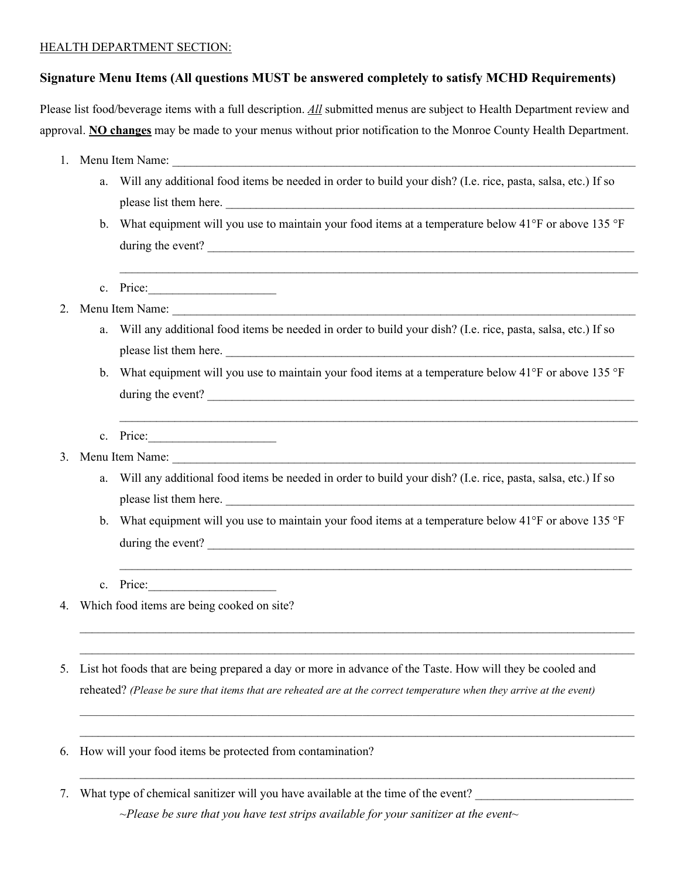#### HEALTH DEPARTMENT SECTION:

#### **Signature Menu Items (All questions MUST be answered completely to satisfy MCHD Requirements)**

Please list food/beverage items with a full description. *All* submitted menus are subject to Health Department review and approval. **NO changes** may be made to your menus without prior notification to the Monroe County Health Department.

- 1. Menu Item Name:
	- a. Will any additional food items be needed in order to build your dish? (I.e. rice, pasta, salsa, etc.) If so please list them here.
	- b. What equipment will you use to maintain your food items at a temperature below 41°F or above 135 °F during the event?

 $\_$  , and the set of the set of the set of the set of the set of the set of the set of the set of the set of the set of the set of the set of the set of the set of the set of the set of the set of the set of the set of th

- c. Price:
- 2. Menu Item Name:
	- a. Will any additional food items be needed in order to build your dish? (I.e. rice, pasta, salsa, etc.) If so please list them here.
	- b. What equipment will you use to maintain your food items at a temperature below 41°F or above 135 °F during the event?

 $\_$  , and the contribution of the contribution of the contribution of the contribution of  $\mathcal{L}_\text{max}$ 

- c. Price:\_\_\_\_\_\_\_\_\_\_\_\_\_\_\_\_\_\_\_\_\_
- 3. Menu Item Name:
	- a. Will any additional food items be needed in order to build your dish? (I.e. rice, pasta, salsa, etc.) If so please list them here.
	- b. What equipment will you use to maintain your food items at a temperature below 41°F or above 135 °F during the event?

\_\_\_\_\_\_\_\_\_\_\_\_\_\_\_\_\_\_\_\_\_\_\_\_\_\_\_\_\_\_\_\_\_\_\_\_\_\_\_\_\_\_\_\_\_\_\_\_\_\_\_\_\_\_\_\_\_\_\_\_\_\_\_\_\_\_\_\_\_\_\_\_\_\_\_\_\_\_\_\_\_\_\_\_\_\_\_\_\_\_\_  $\_$  , and the set of the set of the set of the set of the set of the set of the set of the set of the set of the set of the set of the set of the set of the set of the set of the set of the set of the set of the set of th

*\_\_\_\_\_\_\_\_\_\_\_\_\_\_\_\_\_\_\_\_\_\_\_\_\_\_\_\_\_\_\_\_\_\_\_\_\_\_\_\_\_\_\_\_\_\_\_\_\_\_\_\_\_\_\_\_\_\_\_\_\_\_\_\_\_\_\_\_\_\_\_\_\_\_\_\_\_\_\_\_\_\_\_\_\_\_\_\_\_\_\_\_\_\_\_\_\_\_\_\_*  $\mathcal{L}_\mathcal{L} = \mathcal{L}_\mathcal{L} = \mathcal{L}_\mathcal{L} = \mathcal{L}_\mathcal{L} = \mathcal{L}_\mathcal{L} = \mathcal{L}_\mathcal{L} = \mathcal{L}_\mathcal{L} = \mathcal{L}_\mathcal{L} = \mathcal{L}_\mathcal{L} = \mathcal{L}_\mathcal{L} = \mathcal{L}_\mathcal{L} = \mathcal{L}_\mathcal{L} = \mathcal{L}_\mathcal{L} = \mathcal{L}_\mathcal{L} = \mathcal{L}_\mathcal{L} = \mathcal{L}_\mathcal{L} = \mathcal{L}_\mathcal{L}$ 

 $\mathcal{L}_\mathcal{L} = \mathcal{L}_\mathcal{L} = \mathcal{L}_\mathcal{L} = \mathcal{L}_\mathcal{L} = \mathcal{L}_\mathcal{L} = \mathcal{L}_\mathcal{L} = \mathcal{L}_\mathcal{L} = \mathcal{L}_\mathcal{L} = \mathcal{L}_\mathcal{L} = \mathcal{L}_\mathcal{L} = \mathcal{L}_\mathcal{L} = \mathcal{L}_\mathcal{L} = \mathcal{L}_\mathcal{L} = \mathcal{L}_\mathcal{L} = \mathcal{L}_\mathcal{L} = \mathcal{L}_\mathcal{L} = \mathcal{L}_\mathcal{L}$ 

 $\_$  , and the contribution of the contribution of the contribution of the contribution of  $\mathcal{L}_\text{max}$ 

- c. Price:
- 4. Which food items are being cooked on site?
- 5. List hot foods that are being prepared a day or more in advance of the Taste. How will they be cooled and reheated? *(Please be sure that items that are reheated are at the correct temperature when they arrive at the event)*
- 6. How will your food items be protected from contamination?
- 7. What type of chemical sanitizer will you have available at the time of the event?

*~Please be sure that you have test strips available for your sanitizer at the event~*